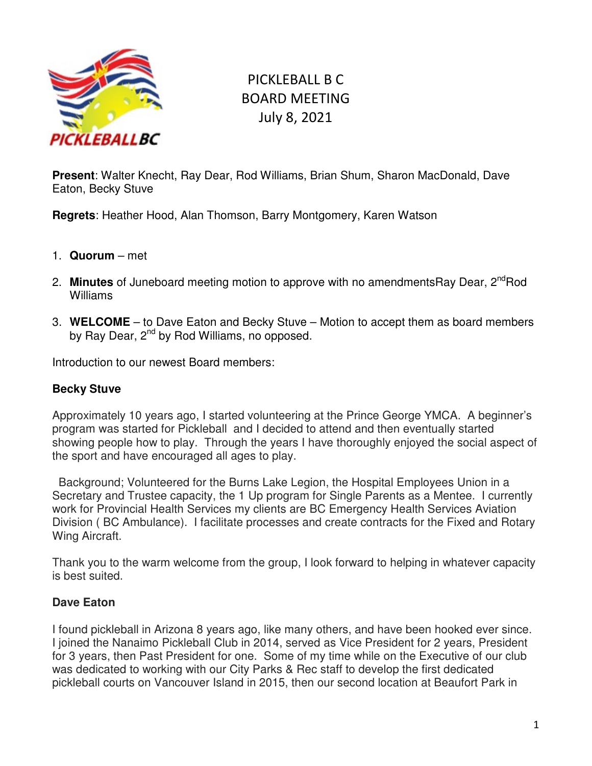

# PICKLEBALL B C BOARD MEETING July 8, 2021

**Present**: Walter Knecht, Ray Dear, Rod Williams, Brian Shum, Sharon MacDonald, Dave Eaton, Becky Stuve

**Regrets**: Heather Hood, Alan Thomson, Barry Montgomery, Karen Watson

- 1. **Quorum**  met
- 2. **Minutes** of Juneboard meeting motion to approve with no amendmentsRay Dear, 2<sup>nd</sup>Rod Williams
- 3. **WELCOME**  to Dave Eaton and Becky Stuve Motion to accept them as board members by Ray Dear, 2<sup>nd</sup> by Rod Williams, no opposed.

Introduction to our newest Board members:

#### **Becky Stuve**

Approximately 10 years ago, I started volunteering at the Prince George YMCA. A beginner's program was started for Pickleball and I decided to attend and then eventually started showing people how to play. Through the years I have thoroughly enjoyed the social aspect of the sport and have encouraged all ages to play.

 Background; Volunteered for the Burns Lake Legion, the Hospital Employees Union in a Secretary and Trustee capacity, the 1 Up program for Single Parents as a Mentee. I currently work for Provincial Health Services my clients are BC Emergency Health Services Aviation Division ( BC Ambulance). I facilitate processes and create contracts for the Fixed and Rotary Wing Aircraft.

Thank you to the warm welcome from the group, I look forward to helping in whatever capacity is best suited.

## **Dave Eaton**

I found pickleball in Arizona 8 years ago, like many others, and have been hooked ever since. I joined the Nanaimo Pickleball Club in 2014, served as Vice President for 2 years, President for 3 years, then Past President for one. Some of my time while on the Executive of our club was dedicated to working with our City Parks & Rec staff to develop the first dedicated pickleball courts on Vancouver Island in 2015, then our second location at Beaufort Park in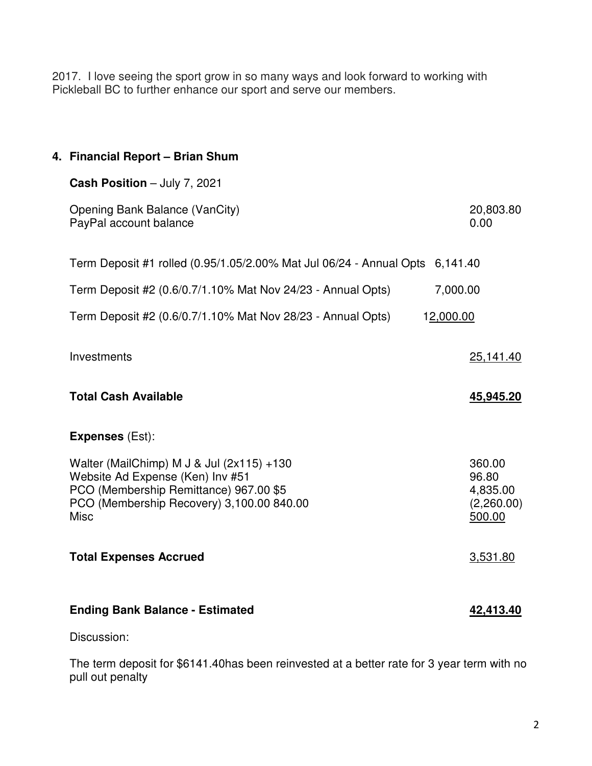2017. I love seeing the sport grow in so many ways and look forward to working with Pickleball BC to further enhance our sport and serve our members.

| 4. Financial Report - Brian Shum                                                                                                                                                    |                                                     |
|-------------------------------------------------------------------------------------------------------------------------------------------------------------------------------------|-----------------------------------------------------|
| Cash Position - July 7, 2021                                                                                                                                                        |                                                     |
| Opening Bank Balance (VanCity)<br>PayPal account balance                                                                                                                            | 20,803.80<br>0.00                                   |
| Term Deposit #1 rolled (0.95/1.05/2.00% Mat Jul 06/24 - Annual Opts 6,141.40                                                                                                        |                                                     |
| Term Deposit #2 (0.6/0.7/1.10% Mat Nov 24/23 - Annual Opts)<br>7,000.00                                                                                                             |                                                     |
| Term Deposit #2 (0.6/0.7/1.10% Mat Nov 28/23 - Annual Opts)<br>12,000.00                                                                                                            |                                                     |
| Investments                                                                                                                                                                         | 25,141.40                                           |
| <b>Total Cash Available</b>                                                                                                                                                         | 45,945.20                                           |
| <b>Expenses (Est):</b>                                                                                                                                                              |                                                     |
| Walter (MailChimp) M J & Jul (2x115) +130<br>Website Ad Expense (Ken) Inv #51<br>PCO (Membership Remittance) 967.00 \$5<br>PCO (Membership Recovery) 3,100.00 840.00<br><b>Misc</b> | 360.00<br>96.80<br>4,835.00<br>(2,260.00)<br>500.00 |
| <b>Total Expenses Accrued</b>                                                                                                                                                       | 3,531.80                                            |
| <b>Ending Bank Balance - Estimated</b>                                                                                                                                              | 42,413.40                                           |
| Discussion:                                                                                                                                                                         |                                                     |
|                                                                                                                                                                                     |                                                     |

The term deposit for \$6141.40has been reinvested at a better rate for 3 year term with no pull out penalty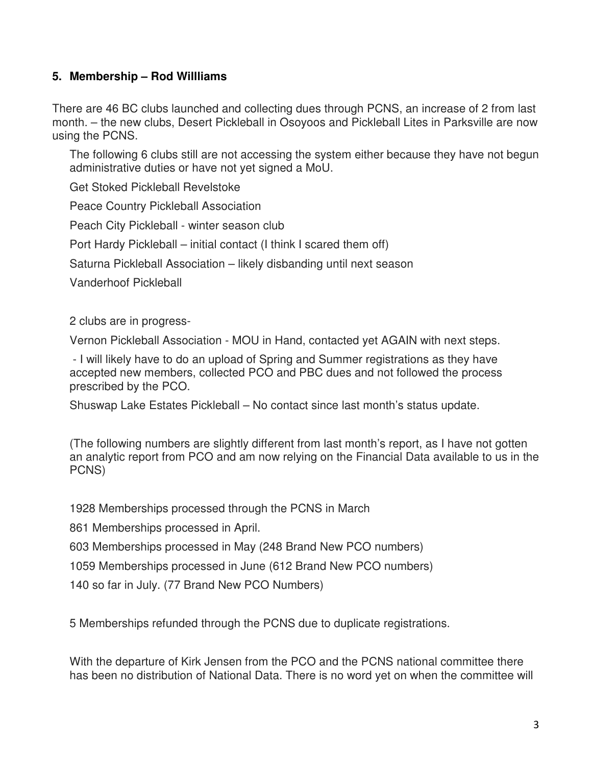## **5. Membership – Rod Willliams**

There are 46 BC clubs launched and collecting dues through PCNS, an increase of 2 from last month. – the new clubs, Desert Pickleball in Osoyoos and Pickleball Lites in Parksville are now using the PCNS.

The following 6 clubs still are not accessing the system either because they have not begun administrative duties or have not yet signed a MoU.

Get Stoked Pickleball Revelstoke

Peace Country Pickleball Association

Peach City Pickleball - winter season club

Port Hardy Pickleball – initial contact (I think I scared them off)

Saturna Pickleball Association – likely disbanding until next season

Vanderhoof Pickleball

2 clubs are in progress-

Vernon Pickleball Association - MOU in Hand, contacted yet AGAIN with next steps.

 - I will likely have to do an upload of Spring and Summer registrations as they have accepted new members, collected PCO and PBC dues and not followed the process prescribed by the PCO.

Shuswap Lake Estates Pickleball – No contact since last month's status update.

(The following numbers are slightly different from last month's report, as I have not gotten an analytic report from PCO and am now relying on the Financial Data available to us in the PCNS)

1928 Memberships processed through the PCNS in March

861 Memberships processed in April.

603 Memberships processed in May (248 Brand New PCO numbers)

1059 Memberships processed in June (612 Brand New PCO numbers)

140 so far in July. (77 Brand New PCO Numbers)

5 Memberships refunded through the PCNS due to duplicate registrations.

With the departure of Kirk Jensen from the PCO and the PCNS national committee there has been no distribution of National Data. There is no word yet on when the committee will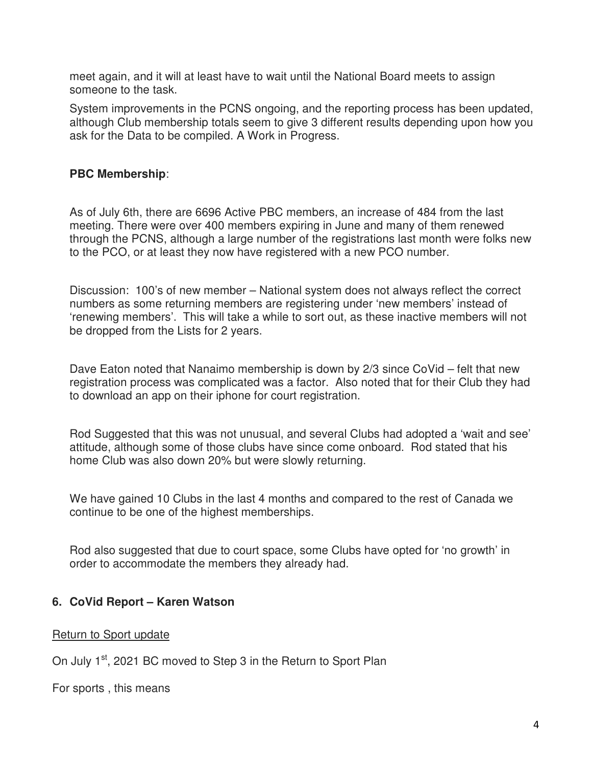meet again, and it will at least have to wait until the National Board meets to assign someone to the task.

System improvements in the PCNS ongoing, and the reporting process has been updated, although Club membership totals seem to give 3 different results depending upon how you ask for the Data to be compiled. A Work in Progress.

## **PBC Membership**:

As of July 6th, there are 6696 Active PBC members, an increase of 484 from the last meeting. There were over 400 members expiring in June and many of them renewed through the PCNS, although a large number of the registrations last month were folks new to the PCO, or at least they now have registered with a new PCO number.

Discussion: 100's of new member – National system does not always reflect the correct numbers as some returning members are registering under 'new members' instead of 'renewing members'. This will take a while to sort out, as these inactive members will not be dropped from the Lists for 2 years.

Dave Eaton noted that Nanaimo membership is down by 2/3 since CoVid – felt that new registration process was complicated was a factor. Also noted that for their Club they had to download an app on their iphone for court registration.

Rod Suggested that this was not unusual, and several Clubs had adopted a 'wait and see' attitude, although some of those clubs have since come onboard. Rod stated that his home Club was also down 20% but were slowly returning.

We have gained 10 Clubs in the last 4 months and compared to the rest of Canada we continue to be one of the highest memberships.

Rod also suggested that due to court space, some Clubs have opted for 'no growth' in order to accommodate the members they already had.

## **6. CoVid Report – Karen Watson**

#### Return to Sport update

On July 1<sup>st</sup>, 2021 BC moved to Step 3 in the Return to Sport Plan

For sports , this means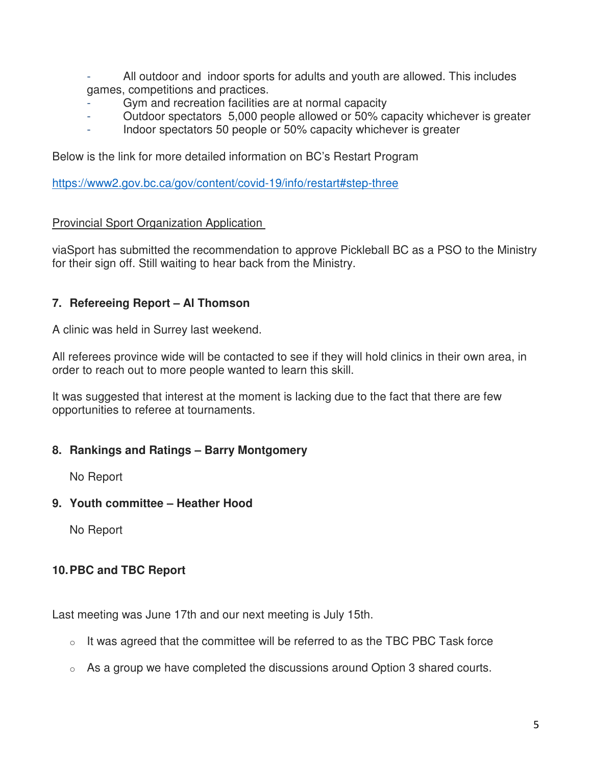- All outdoor and indoor sports for adults and youth are allowed. This includes games, competitions and practices.
- Gym and recreation facilities are at normal capacity
- Outdoor spectators 5,000 people allowed or 50% capacity whichever is greater
- Indoor spectators 50 people or 50% capacity whichever is greater

Below is the link for more detailed information on BC's Restart Program

https://www2.gov.bc.ca/gov/content/covid-19/info/restart#step-three

## Provincial Sport Organization Application

viaSport has submitted the recommendation to approve Pickleball BC as a PSO to the Ministry for their sign off. Still waiting to hear back from the Ministry.

## **7. Refereeing Report – Al Thomson**

A clinic was held in Surrey last weekend.

All referees province wide will be contacted to see if they will hold clinics in their own area, in order to reach out to more people wanted to learn this skill.

It was suggested that interest at the moment is lacking due to the fact that there are few opportunities to referee at tournaments.

## **8. Rankings and Ratings – Barry Montgomery**

No Report

## **9. Youth committee – Heather Hood**

No Report

# **10. PBC and TBC Report**

Last meeting was June 17th and our next meeting is July 15th.

- $\circ$  It was agreed that the committee will be referred to as the TBC PBC Task force
- $\circ$  As a group we have completed the discussions around Option 3 shared courts.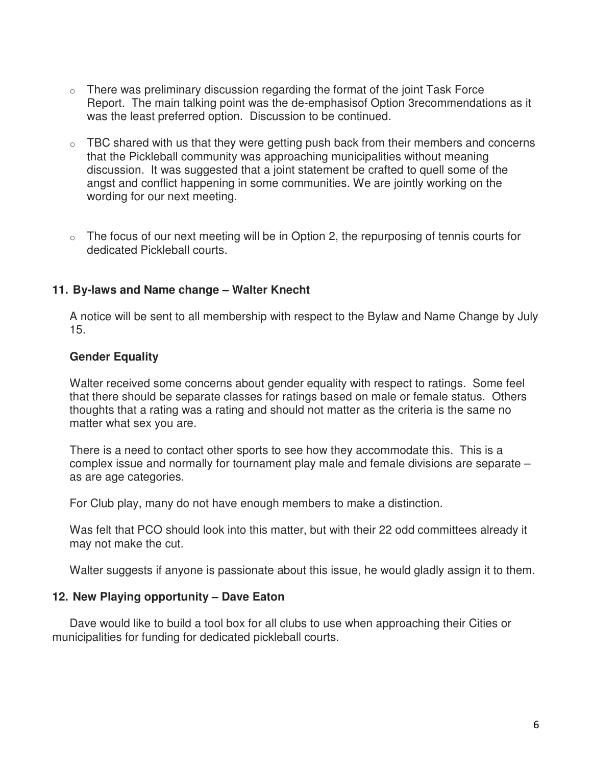- $\circ$  There was preliminary discussion regarding the format of the joint Task Force Report. The main talking point was the de-emphasisof Option 3recommendations as it was the least preferred option. Discussion to be continued.
- $\circ$  TBC shared with us that they were getting push back from their members and concerns that the Pickleball community was approaching municipalities without meaning discussion. It was suggested that a joint statement be crafted to quell some of the angst and conflict happening in some communities. We are jointly working on the wording for our next meeting.
- $\circ$  The focus of our next meeting will be in Option 2, the repurposing of tennis courts for dedicated Pickleball courts.

#### **11. By-laws and Name change – Walter Knecht**

A notice will be sent to all membership with respect to the Bylaw and Name Change by July 15.

#### **Gender Equality**

Walter received some concerns about gender equality with respect to ratings. Some feel that there should be separate classes for ratings based on male or female status. Others thoughts that a rating was a rating and should not matter as the criteria is the same no matter what sex you are.

There is a need to contact other sports to see how they accommodate this. This is a complex issue and normally for tournament play male and female divisions are separate – as are age categories.

For Club play, many do not have enough members to make a distinction.

Was felt that PCO should look into this matter, but with their 22 odd committees already it may not make the cut.

Walter suggests if anyone is passionate about this issue, he would gladly assign it to them.

#### **12. New Playing opportunity – Dave Eaton**

Dave would like to build a tool box for all clubs to use when approaching their Cities or municipalities for funding for dedicated pickleball courts.